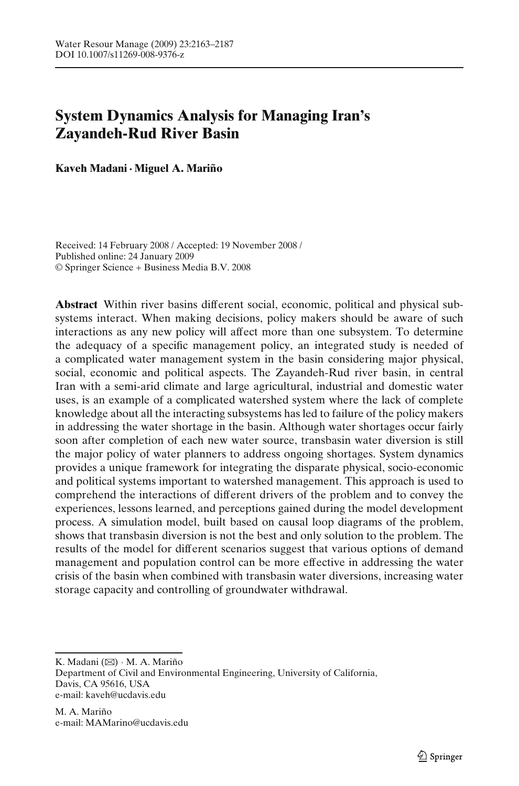# **System Dynamics Analysis for Managing Iran's Zayandeh-Rud River Basin**

**Kaveh Madani· Miguel A. Mariño**

Received: 14 February 2008 / Accepted: 19 November 2008 / Published online: 24 January 2009 © Springer Science + Business Media B.V. 2008

**Abstract** Within river basins different social, economic, political and physical subsystems interact. When making decisions, policy makers should be aware of such interactions as any new policy will affect more than one subsystem. To determine the adequacy of a specific management policy, an integrated study is needed of a complicated water management system in the basin considering major physical, social, economic and political aspects. The Zayandeh-Rud river basin, in central Iran with a semi-arid climate and large agricultural, industrial and domestic water uses, is an example of a complicated watershed system where the lack of complete knowledge about all the interacting subsystems has led to failure of the policy makers in addressing the water shortage in the basin. Although water shortages occur fairly soon after completion of each new water source, transbasin water diversion is still the major policy of water planners to address ongoing shortages. System dynamics provides a unique framework for integrating the disparate physical, socio-economic and political systems important to watershed management. This approach is used to comprehend the interactions of different drivers of the problem and to convey the experiences, lessons learned, and perceptions gained during the model development process. A simulation model, built based on causal loop diagrams of the problem, shows that transbasin diversion is not the best and only solution to the problem. The results of the model for different scenarios suggest that various options of demand management and population control can be more effective in addressing the water crisis of the basin when combined with transbasin water diversions, increasing water storage capacity and controlling of groundwater withdrawal.

M. A. Mariño e-mail: MAMarino@ucdavis.edu

K. Madani (B) · M. A. Mariño Department of Civil and Environmental Engineering, University of California, Davis, CA 95616, USA e-mail: kaveh@ucdavis.edu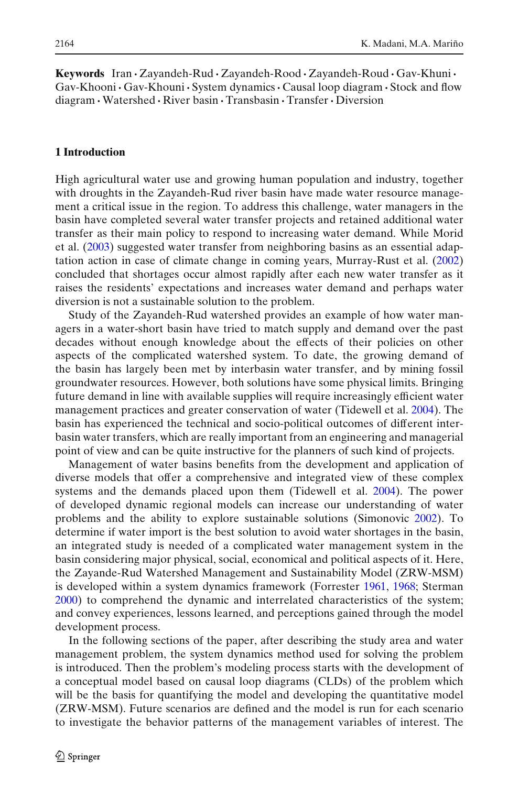**Keywords** Iran **·** Zayandeh-Rud **·** Zayandeh-Rood **·** Zayandeh-Roud **·** Gav-Khuni**·** Gav-Khooni**·** Gav-Khouni**·** System dynamics**·** Causal loop diagram **·** Stock and flow diagram **·**Watershed **·** River basin **·**Transbasin **·**Transfer**·** Diversion

#### **1 Introduction**

High agricultural water use and growing human population and industry, together with droughts in the Zayandeh-Rud river basin have made water resource management a critical issue in the region. To address this challenge, water managers in the basin have completed several water transfer projects and retained additional water transfer as their main policy to respond to increasing water demand. While Morid et al. [\(2003\)](#page-23-0) suggested water transfer from neighboring basins as an essential adaptation action in case of climate change in coming years, Murray-Rust et al[.](#page-23-0) [\(2002\)](#page-23-0) concluded that shortages occur almost rapidly after each new water transfer as it raises the residents' expectations and increases water demand and perhaps water diversion is not a sustainable solution to the problem.

Study of the Zayandeh-Rud watershed provides an example of how water managers in a water-short basin have tried to match supply and demand over the past decades without enough knowledge about the effects of their policies on other aspects of the complicated watershed system. To date, the growing demand of the basin has largely been met by interbasin water transfer, and by mining fossil groundwater resources. However, both solutions have some physical limits. Bringing future demand in line with available supplies will require increasingly efficient water management practices and greater conservation of water (Tidewell et al[.](#page-24-0) [2004\)](#page-24-0). The basin has experienced the technical and socio-political outcomes of different interbasin water transfers, which are really important from an engineering and managerial point of view and can be quite instructive for the planners of such kind of projects.

Management of water basins benefits from the development and application of diverse models that offer a comprehensive and integrated view of these complex systems and the demands placed upon them (Tidewell et al[.](#page-24-0) [2004](#page-24-0)). The power of developed dynamic regional models can increase our understanding of water problems and the ability to explore sustainable solutions (Simonovi[c](#page-23-0) [2002](#page-23-0)). To determine if water import is the best solution to avoid water shortages in the basin, an integrated study is needed of a complicated water management system in the basin considering major physical, social, economical and political aspects of it. Here, the Zayande-Rud Watershed Management and Sustainability Model (ZRW-MSM) is developed within a system dynamics framework (Forreste[r](#page-23-0) [1961](#page-23-0), [1968;](#page-23-0) Sterma[n](#page-24-0) [2000\)](#page-24-0) to comprehend the dynamic and interrelated characteristics of the system; and convey experiences, lessons learned, and perceptions gained through the model development process.

In the following sections of the paper, after describing the study area and water management problem, the system dynamics method used for solving the problem is introduced. Then the problem's modeling process starts with the development of a conceptual model based on causal loop diagrams (CLDs) of the problem which will be the basis for quantifying the model and developing the quantitative model (ZRW-MSM). Future scenarios are defined and the model is run for each scenario to investigate the behavior patterns of the management variables of interest. The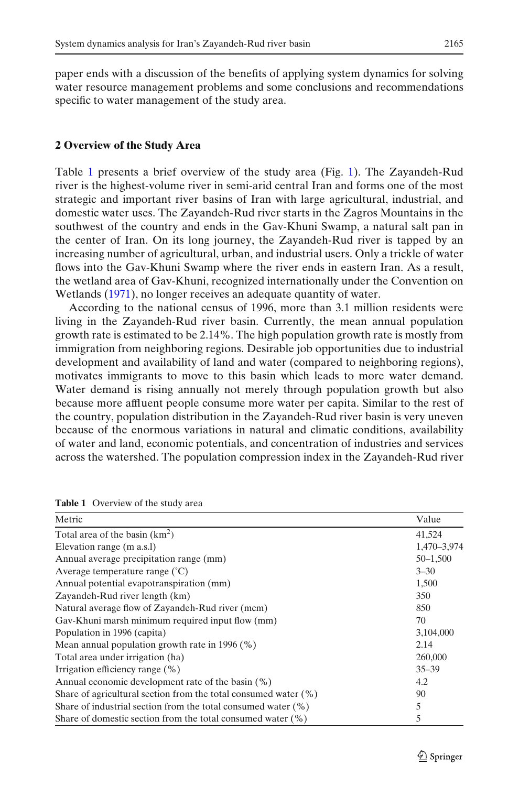paper ends with a discussion of the benefits of applying system dynamics for solving water resource management problems and some conclusions and recommendations specific to water management of the study area.

#### **2 Overview of the Study Area**

Table 1 presents a brief overview of the study area (Fig. [1\)](#page-3-0). The Zayandeh-Rud river is the highest-volume river in semi-arid central Iran and forms one of the most strategic and important river basins of Iran with large agricultural, industrial, and domestic water uses. The Zayandeh-Rud river starts in the Zagros Mountains in the southwest of the country and ends in the Gav-Khuni Swamp, a natural salt pan in the center of Iran. On its long journey, the Zayandeh-Rud river is tapped by an increasing number of agricultural, urban, and industrial users. Only a trickle of water flows into the Gav-Khuni Swamp where the river ends in eastern Iran. As a result, the wetland area of Gav-Khuni, recognized internationally under the Convention on Wetland[s](#page-23-0) [\(1971\)](#page-23-0), no longer receives an adequate quantity of water.

According to the national census of 1996, more than 3.1 million residents were living in the Zayandeh-Rud river basin. Currently, the mean annual population growth rate is estimated to be 2.14%. The high population growth rate is mostly from immigration from neighboring regions. Desirable job opportunities due to industrial development and availability of land and water (compared to neighboring regions), motivates immigrants to move to this basin which leads to more water demand. Water demand is rising annually not merely through population growth but also because more affluent people consume more water per capita. Similar to the rest of the country, population distribution in the Zayandeh-Rud river basin is very uneven because of the enormous variations in natural and climatic conditions, availability of water and land, economic potentials, and concentration of industries and services across the watershed. The population compression index in the Zayandeh-Rud river

| Metric                                                             | Value        |
|--------------------------------------------------------------------|--------------|
| Total area of the basin $(km^2)$                                   | 41,524       |
| Elevation range (m a.s.l)                                          | 1,470-3,974  |
| Annual average precipitation range (mm)                            | $50 - 1,500$ |
| Average temperature range $({}^{\circ}C)$                          | $3 - 30$     |
| Annual potential evapotranspiration (mm)                           | 1,500        |
| Zayandeh-Rud river length (km)                                     | 350          |
| Natural average flow of Zayandeh-Rud river (mcm)                   | 850          |
| Gav-Khuni marsh minimum required input flow (mm)                   | 70           |
| Population in 1996 (capita)                                        | 3,104,000    |
| Mean annual population growth rate in 1996 $(\%)$                  | 2.14         |
| Total area under irrigation (ha)                                   | 260,000      |
| Irrigation efficiency range $(\%)$                                 | $35 - 39$    |
| Annual economic development rate of the basin (%)                  | 4.2          |
| Share of agricultural section from the total consumed water $(\%)$ | 90           |
| Share of industrial section from the total consumed water $(\%)$   | 5            |
| Share of domestic section from the total consumed water $(\%)$     | 5            |

**Table 1** Overview of the study area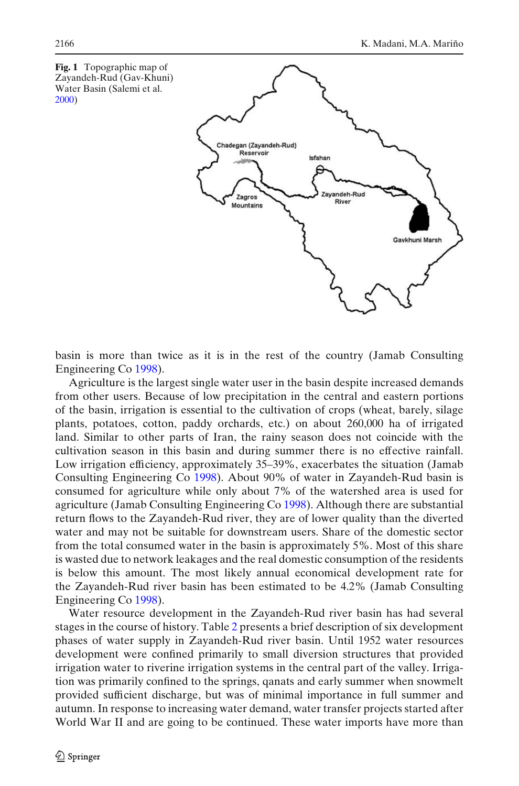<span id="page-3-0"></span>

basin is more than twice as it is in the rest of the country (Jamab Consulting Engineering C[o](#page-23-0) [1998](#page-23-0)).

Agriculture is the largest single water user in the basin despite increased demands from other users. Because of low precipitation in the central and eastern portions of the basin, irrigation is essential to the cultivation of crops (wheat, barely, silage plants, potatoes, cotton, paddy orchards, etc.) on about 260,000 ha of irrigated land. Similar to other parts of Iran, the rainy season does not coincide with the cultivation season in this basin and during summer there is no effective rainfall. Low irrigation efficiency, approximately 35–39%, exacerbates the situation (Jamab Consulting Engineering C[o](#page-23-0) [1998](#page-23-0)). About 90% of water in Zayandeh-Rud basin is consumed for agriculture while only about 7% of the watershed area is used for agriculture (Jamab Consulting Engineering C[o](#page-23-0) [1998](#page-23-0)). Although there are substantial return flows to the Zayandeh-Rud river, they are of lower quality than the diverted water and may not be suitable for downstream users. Share of the domestic sector from the total consumed water in the basin is approximately 5%. Most of this share is wasted due to network leakages and the real domestic consumption of the residents is below this amount. The most likely annual economical development rate for the Zayandeh-Rud river basin has been estimated to be 4.2% (Jamab Consulting Engineering C[o](#page-23-0) [1998](#page-23-0)).

Water resource development in the Zayandeh-Rud river basin has had several stages in the course of history. Table [2](#page-4-0) presents a brief description of six development phases of water supply in Zayandeh-Rud river basin. Until 1952 water resources development were confined primarily to small diversion structures that provided irrigation water to riverine irrigation systems in the central part of the valley. Irrigation was primarily confined to the springs, qanats and early summer when snowmelt provided sufficient discharge, but was of minimal importance in full summer and autumn. In response to increasing water demand, water transfer projects started after World War II and are going to be continued. These water imports have more than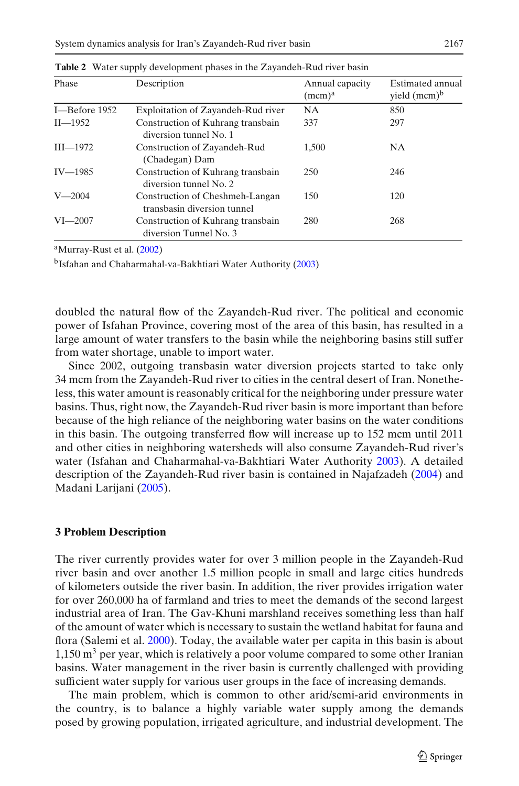| Phase         | Description                                                    | Annual capacity<br>$(mcm)^a$ | Estimated annual<br>yield $(mcm)^b$ |
|---------------|----------------------------------------------------------------|------------------------------|-------------------------------------|
| I-Before 1952 | Exploitation of Zayandeh-Rud river                             | NA.                          | 850                                 |
| $II$ —1952    | Construction of Kuhrang transbain<br>diversion tunnel No. 1    | 337                          | 297                                 |
| $III - 1972$  | Construction of Zayandeh-Rud<br>(Chadegan) Dam                 | 1,500                        | NA.                                 |
| $IV - 1985$   | Construction of Kuhrang transbain<br>diversion tunnel No. 2    | 250                          | 246                                 |
| $V = 2004$    | Construction of Cheshmeh-Langan<br>transbasin diversion tunnel | 150                          | 120                                 |
| $VI - 2007$   | Construction of Kuhrang transbain<br>diversion Tunnel No. 3    | 280                          | 268                                 |

<span id="page-4-0"></span>**Table 2** Water supply development phases in the Zayandeh-Rud river basin

aMurray-Rust et al. [\(2002\)](#page-23-0)

bIsfahan and Chaharmahal-va-Bakhtiari Water Authority [\(2003](#page-23-0))

doubled the natural flow of the Zayandeh-Rud river. The political and economic power of Isfahan Province, covering most of the area of this basin, has resulted in a large amount of water transfers to the basin while the neighboring basins still suffer from water shortage, unable to import water.

Since 2002, outgoing transbasin water diversion projects started to take only 34 mcm from the Zayandeh-Rud river to cities in the central desert of Iran. Nonetheless, this water amount is reasonably critical for the neighboring under pressure water basins. Thus, right now, the Zayandeh-Rud river basin is more important than before because of the high reliance of the neighboring water basins on the water conditions in this basin. The outgoing transferred flow will increase up to 152 mcm until 2011 and other cities in neighboring watersheds will also consume Zayandeh-Rud river's water (Isfahan and Chaharmahal-va-Bakhtiari Water Authorit[y](#page-23-0) [2003](#page-23-0)). A detailed description of the Zayandeh-Rud river basin is contained in Najafzade[h](#page-23-0) [\(2004\)](#page-23-0) and Madani Larijan[i](#page-23-0) [\(2005\)](#page-23-0).

#### **3 Problem Description**

The river currently provides water for over 3 million people in the Zayandeh-Rud river basin and over another 1.5 million people in small and large cities hundreds of kilometers outside the river basin. In addition, the river provides irrigation water for over 260,000 ha of farmland and tries to meet the demands of the second largest industrial area of Iran. The Gav-Khuni marshland receives something less than half of the amount of water which is necessary to sustain the wetland habitat for fauna and flora (Salemi et al[.](#page-23-0) [2000](#page-23-0)). Today, the available water per capita in this basin is about  $1,150 \text{ m}^3$  per year, which is relatively a poor volume compared to some other Iranian basins. Water management in the river basin is currently challenged with providing sufficient water supply for various user groups in the face of increasing demands.

The main problem, which is common to other arid/semi-arid environments in the country, is to balance a highly variable water supply among the demands posed by growing population, irrigated agriculture, and industrial development. The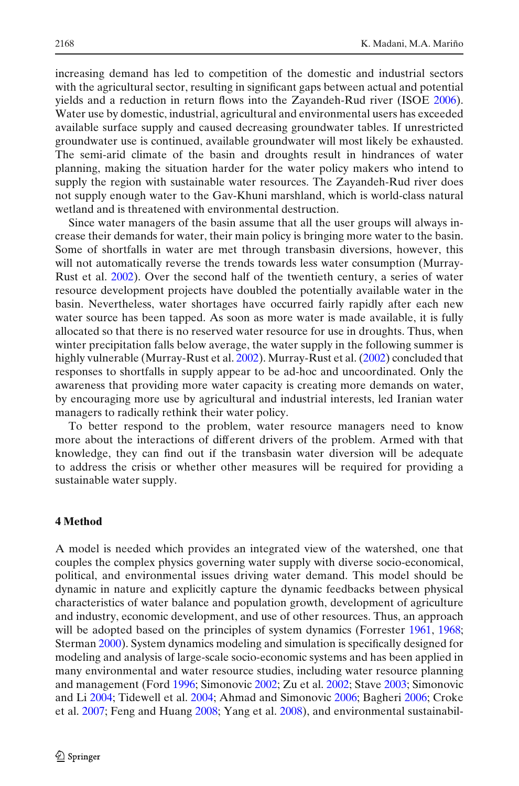increasing demand has led to competition of the domestic and industrial sectors with the agricultural sector, resulting in significant gaps between actual and potential yields and a reduction in return flows into the Zayandeh-Rud river (ISO[E](#page-23-0) [2006\)](#page-23-0). Water use by domestic, industrial, agricultural and environmental users has exceeded available surface supply and caused decreasing groundwater tables. If unrestricted groundwater use is continued, available groundwater will most likely be exhausted. The semi-arid climate of the basin and droughts result in hindrances of water planning, making the situation harder for the water policy makers who intend to supply the region with sustainable water resources. The Zayandeh-Rud river does not supply enough water to the Gav-Khuni marshland, which is world-class natural wetland and is threatened with environmental destruction.

Since water managers of the basin assume that all the user groups will always increase their demands for water, their main policy is bringing more water to the basin. Some of shortfalls in water are met through transbasin diversions, however, this will not automatically reverse the trends towards less water consumption (Murray-Rust et al[.](#page-23-0) [2002](#page-23-0)). Over the second half of the twentieth century, a series of water resource development projects have doubled the potentially available water in the basin. Nevertheless, water shortages have occurred fairly rapidly after each new water source has been tapped. As soon as more water is made available, it is fully allocated so that there is no reserved water resource for use in droughts. Thus, when winter precipitation falls below average, the water supply in the following summer is highly vulnerable (Murray-Rust et al[.](#page-23-0) [2002](#page-23-0)). Murray-Rust et al[.](#page-23-0) [\(2002\)](#page-23-0) concluded that responses to shortfalls in supply appear to be ad-hoc and uncoordinated. Only the awareness that providing more water capacity is creating more demands on water, by encouraging more use by agricultural and industrial interests, led Iranian water managers to radically rethink their water policy.

To better respond to the problem, water resource managers need to know more about the interactions of different drivers of the problem. Armed with that knowledge, they can find out if the transbasin water diversion will be adequate to address the crisis or whether other measures will be required for providing a sustainable water supply.

#### **4 Method**

A model is needed which provides an integrated view of the watershed, one that couples the complex physics governing water supply with diverse socio-economical, political, and environmental issues driving water demand. This model should be dynamic in nature and explicitly capture the dynamic feedbacks between physical characteristics of water balance and population growth, development of agriculture and industry, economic development, and use of other resources. Thus, an approach will be adopted based on the p[r](#page-23-0)inciples of system dynamics (Forrester [1961,](#page-23-0) [1968](#page-23-0); Sterma[n](#page-24-0) [2000\)](#page-24-0). System dynamics modeling and simulation is specifically designed for modeling and analysis of large-scale socio-economic systems and has been applied in many environmental and water resource studies, including water resource planning and management (For[d](#page-23-0) [1996](#page-23-0); Simonovi[c](#page-23-0) [2002;](#page-23-0) Zu et al[.](#page-24-0) [2002;](#page-24-0) Stav[e](#page-24-0) [2003;](#page-24-0) Simonovic and L[i](#page-24-0) [2004](#page-24-0); Tidewell et al[.](#page-24-0) [2004;](#page-24-0) Ahmad and Simonovi[c](#page-23-0) [2006](#page-23-0); Bagher[i](#page-23-0) [2006;](#page-23-0) Croke et al[.](#page-23-0) [2007;](#page-23-0) Feng and Huan[g](#page-23-0) [2008](#page-23-0); Yang et al[.](#page-24-0) [2008](#page-24-0)), and environmental sustainabil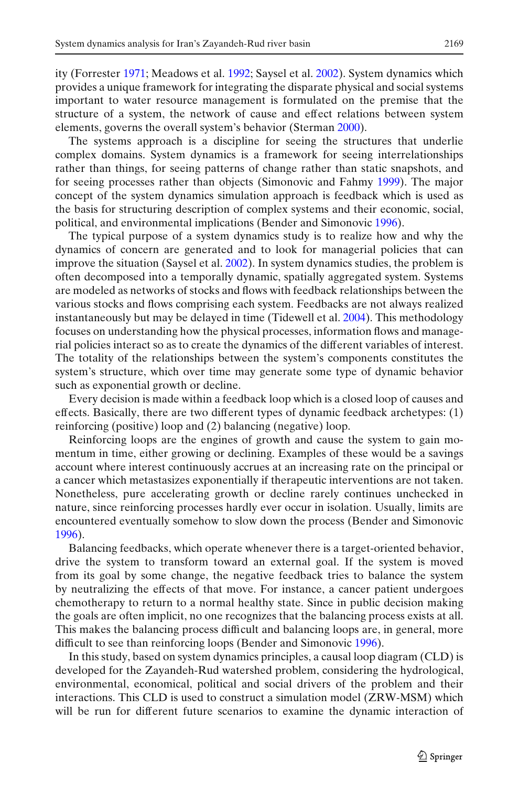ity (Forreste[r](#page-23-0) [1971](#page-23-0); Meadows et al[.](#page-23-0) [1992;](#page-23-0) Saysel et al[.](#page-23-0) [2002\)](#page-23-0). System dynamics which provides a unique framework for integrating the disparate physical and social systems important to water resource management is formulated on the premise that the structure of a system, the network of cause and effect relations between system elements, governs the overall system's behavior (Sterma[n](#page-24-0) [2000\)](#page-24-0).

The systems approach is a discipline for seeing the structures that underlie complex domains. System dynamics is a framework for seeing interrelationships rather than things, for seeing patterns of change rather than static snapshots, and for seeing processes rather than objects (Simonovic and Fahm[y](#page-24-0) [1999\)](#page-24-0). The major concept of the system dynamics simulation approach is feedback which is used as the basis for structuring description of complex systems and their economic, social, political, and environmental implications (Bender and Simonovi[c](#page-23-0) [1996\)](#page-23-0).

The typical purpose of a system dynamics study is to realize how and why the dynamics of concern are generated and to look for managerial policies that can improve the situation (Saysel et al[.](#page-23-0) [2002\)](#page-23-0). In system dynamics studies, the problem is often decomposed into a temporally dynamic, spatially aggregated system. Systems are modeled as networks of stocks and flows with feedback relationships between the various stocks and flows comprising each system. Feedbacks are not always realized instantaneously but may be delayed in time (Tidewell et al[.](#page-24-0) [2004\)](#page-24-0). This methodology focuses on understanding how the physical processes, information flows and managerial policies interact so as to create the dynamics of the different variables of interest. The totality of the relationships between the system's components constitutes the system's structure, which over time may generate some type of dynamic behavior such as exponential growth or decline.

Every decision is made within a feedback loop which is a closed loop of causes and effects. Basically, there are two different types of dynamic feedback archetypes: (1) reinforcing (positive) loop and (2) balancing (negative) loop.

Reinforcing loops are the engines of growth and cause the system to gain momentum in time, either growing or declining. Examples of these would be a savings account where interest continuously accrues at an increasing rate on the principal or a cancer which metastasizes exponentially if therapeutic interventions are not taken. Nonetheless, pure accelerating growth or decline rarely continues unchecked in nature, since reinforcing processes hardly ever occur in isolation. Usually, limits are encountered eventually somehow to slow down the process (Bender and Simonovi[c](#page-23-0) [1996\)](#page-23-0).

Balancing feedbacks, which operate whenever there is a target-oriented behavior, drive the system to transform toward an external goal. If the system is moved from its goal by some change, the negative feedback tries to balance the system by neutralizing the effects of that move. For instance, a cancer patient undergoes chemotherapy to return to a normal healthy state. Since in public decision making the goals are often implicit, no one recognizes that the balancing process exists at all. This makes the balancing process difficult and balancing loops are, in general, more difficult to see than reinforcing loops (Bender and Simonovi[c](#page-23-0) [1996](#page-23-0)).

In this study, based on system dynamics principles, a causal loop diagram (CLD) is developed for the Zayandeh-Rud watershed problem, considering the hydrological, environmental, economical, political and social drivers of the problem and their interactions. This CLD is used to construct a simulation model (ZRW-MSM) which will be run for different future scenarios to examine the dynamic interaction of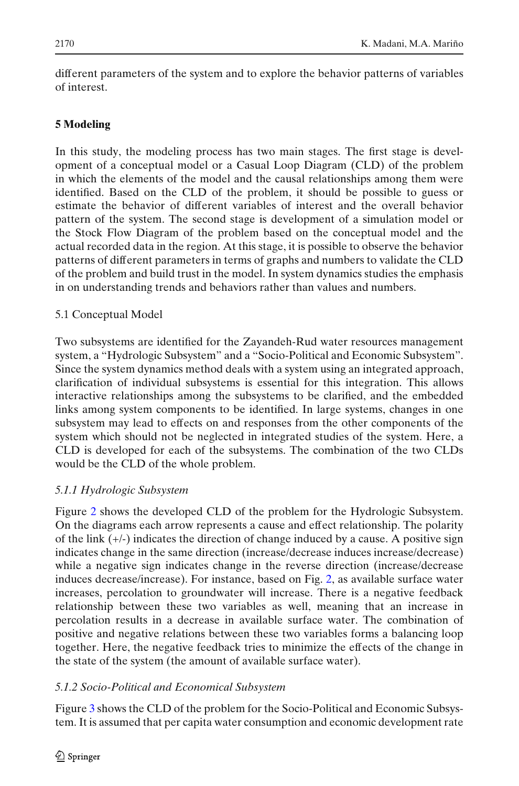different parameters of the system and to explore the behavior patterns of variables of interest.

## **5 Modeling**

In this study, the modeling process has two main stages. The first stage is development of a conceptual model or a Casual Loop Diagram (CLD) of the problem in which the elements of the model and the causal relationships among them were identified. Based on the CLD of the problem, it should be possible to guess or estimate the behavior of different variables of interest and the overall behavior pattern of the system. The second stage is development of a simulation model or the Stock Flow Diagram of the problem based on the conceptual model and the actual recorded data in the region. At this stage, it is possible to observe the behavior patterns of different parameters in terms of graphs and numbers to validate the CLD of the problem and build trust in the model. In system dynamics studies the emphasis in on understanding trends and behaviors rather than values and numbers.

### 5.1 Conceptual Model

Two subsystems are identified for the Zayandeh-Rud water resources management system, a "Hydrologic Subsystem" and a "Socio-Political and Economic Subsystem". Since the system dynamics method deals with a system using an integrated approach, clarification of individual subsystems is essential for this integration. This allows interactive relationships among the subsystems to be clarified, and the embedded links among system components to be identified. In large systems, changes in one subsystem may lead to effects on and responses from the other components of the system which should not be neglected in integrated studies of the system. Here, a CLD is developed for each of the subsystems. The combination of the two CLDs would be the CLD of the whole problem.

### *5.1.1 Hydrologic Subsystem*

Figure [2](#page-8-0) shows the developed CLD of the problem for the Hydrologic Subsystem. On the diagrams each arrow represents a cause and effect relationship. The polarity of the link  $(+/-)$  indicates the direction of change induced by a cause. A positive sign indicates change in the same direction (increase/decrease induces increase/decrease) while a negative sign indicates change in the reverse direction (increase/decrease induces decrease/increase). For instance, based on Fig. [2,](#page-8-0) as available surface water increases, percolation to groundwater will increase. There is a negative feedback relationship between these two variables as well, meaning that an increase in percolation results in a decrease in available surface water. The combination of positive and negative relations between these two variables forms a balancing loop together. Here, the negative feedback tries to minimize the effects of the change in the state of the system (the amount of available surface water).

### *5.1.2 Socio-Political and Economical Subsystem*

Figure [3](#page-8-0) shows the CLD of the problem for the Socio-Political and Economic Subsystem. It is assumed that per capita water consumption and economic development rate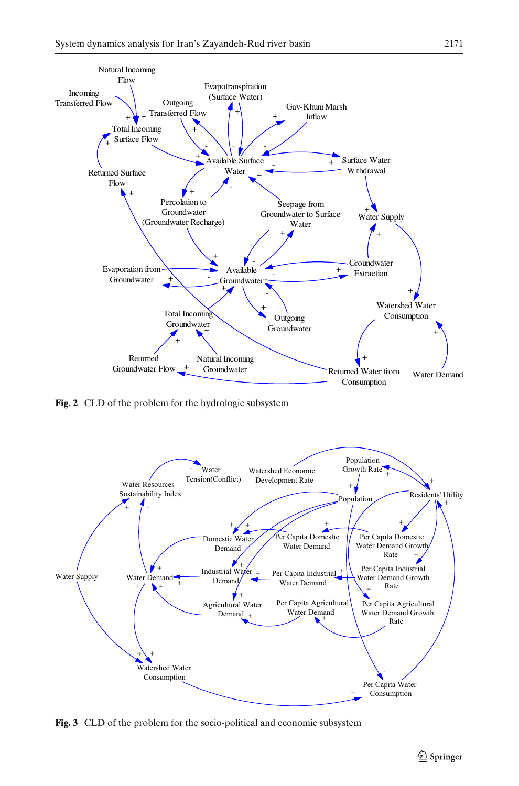<span id="page-8-0"></span>

**Fig. 2** CLD of the problem for the hydrologic subsystem



**Fig. 3** CLD of the problem for the socio-political and economic subsystem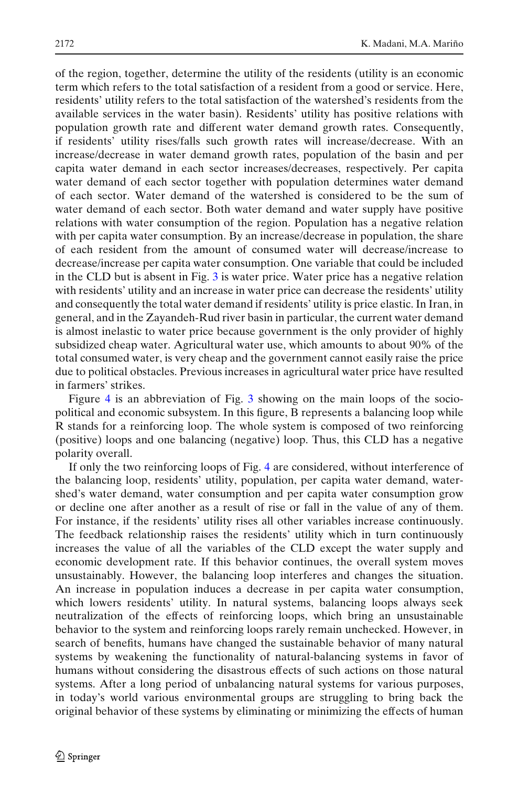of the region, together, determine the utility of the residents (utility is an economic term which refers to the total satisfaction of a resident from a good or service. Here, residents' utility refers to the total satisfaction of the watershed's residents from the available services in the water basin). Residents' utility has positive relations with population growth rate and different water demand growth rates. Consequently, if residents' utility rises/falls such growth rates will increase/decrease. With an increase/decrease in water demand growth rates, population of the basin and per capita water demand in each sector increases/decreases, respectively. Per capita water demand of each sector together with population determines water demand of each sector. Water demand of the watershed is considered to be the sum of water demand of each sector. Both water demand and water supply have positive relations with water consumption of the region. Population has a negative relation with per capita water consumption. By an increase/decrease in population, the share of each resident from the amount of consumed water will decrease/increase to decrease/increase per capita water consumption. One variable that could be included in the CLD but is absent in Fig. [3](#page-8-0) is water price. Water price has a negative relation with residents' utility and an increase in water price can decrease the residents' utility and consequently the total water demand if residents' utility is price elastic. In Iran, in general, and in the Zayandeh-Rud river basin in particular, the current water demand is almost inelastic to water price because government is the only provider of highly subsidized cheap water. Agricultural water use, which amounts to about 90% of the total consumed water, is very cheap and the government cannot easily raise the price due to political obstacles. Previous increases in agricultural water price have resulted in farmers' strikes.

Figure [4](#page-10-0) is an abbreviation of Fig. [3](#page-8-0) showing on the main loops of the sociopolitical and economic subsystem. In this figure, B represents a balancing loop while R stands for a reinforcing loop. The whole system is composed of two reinforcing (positive) loops and one balancing (negative) loop. Thus, this CLD has a negative polarity overall.

If only the two reinforcing loops of Fig. [4](#page-10-0) are considered, without interference of the balancing loop, residents' utility, population, per capita water demand, watershed's water demand, water consumption and per capita water consumption grow or decline one after another as a result of rise or fall in the value of any of them. For instance, if the residents' utility rises all other variables increase continuously. The feedback relationship raises the residents' utility which in turn continuously increases the value of all the variables of the CLD except the water supply and economic development rate. If this behavior continues, the overall system moves unsustainably. However, the balancing loop interferes and changes the situation. An increase in population induces a decrease in per capita water consumption, which lowers residents' utility. In natural systems, balancing loops always seek neutralization of the effects of reinforcing loops, which bring an unsustainable behavior to the system and reinforcing loops rarely remain unchecked. However, in search of benefits, humans have changed the sustainable behavior of many natural systems by weakening the functionality of natural-balancing systems in favor of humans without considering the disastrous effects of such actions on those natural systems. After a long period of unbalancing natural systems for various purposes, in today's world various environmental groups are struggling to bring back the original behavior of these systems by eliminating or minimizing the effects of human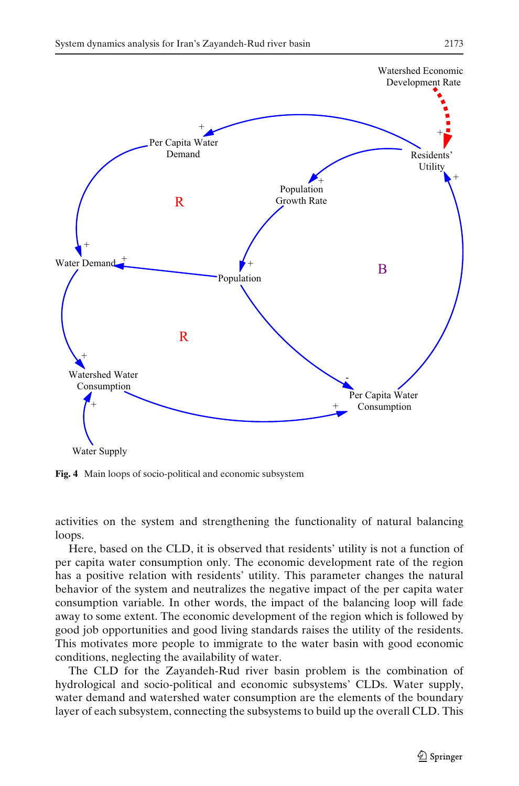<span id="page-10-0"></span>

**Fig. 4** Main loops of socio-political and economic subsystem

activities on the system and strengthening the functionality of natural balancing loops.

Here, based on the CLD, it is observed that residents' utility is not a function of per capita water consumption only. The economic development rate of the region has a positive relation with residents' utility. This parameter changes the natural behavior of the system and neutralizes the negative impact of the per capita water consumption variable. In other words, the impact of the balancing loop will fade away to some extent. The economic development of the region which is followed by good job opportunities and good living standards raises the utility of the residents. This motivates more people to immigrate to the water basin with good economic conditions, neglecting the availability of water.

The CLD for the Zayandeh-Rud river basin problem is the combination of hydrological and socio-political and economic subsystems' CLDs. Water supply, water demand and watershed water consumption are the elements of the boundary layer of each subsystem, connecting the subsystems to build up the overall CLD. This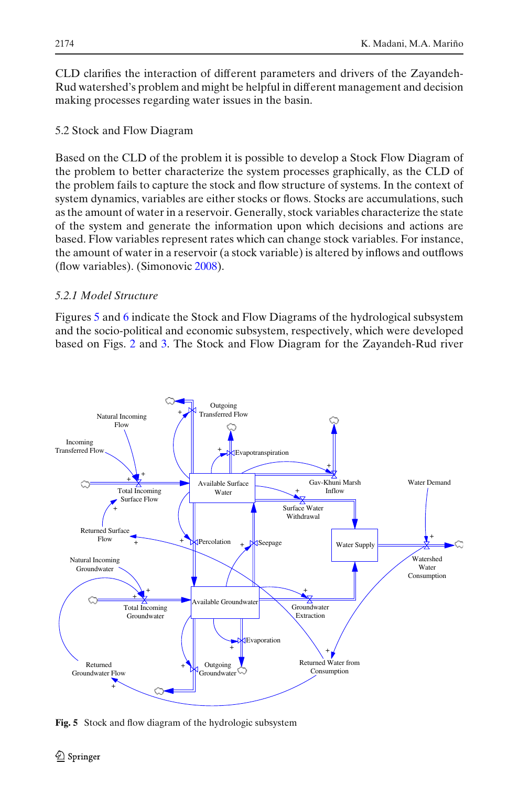<span id="page-11-0"></span>CLD clarifies the interaction of different parameters and drivers of the Zayandeh-Rud watershed's problem and might be helpful in different management and decision making processes regarding water issues in the basin.

### 5.2 Stock and Flow Diagram

Based on the CLD of the problem it is possible to develop a Stock Flow Diagram of the problem to better characterize the system processes graphically, as the CLD of the problem fails to capture the stock and flow structure of systems. In the context of system dynamics, variables are either stocks or flows. Stocks are accumulations, such as the amount of water in a reservoir. Generally, stock variables characterize the state of the system and generate the information upon which decisions and actions are based. Flow variables represent rates which can change stock variables. For instance, the amount of water in a reservoir (a stock variable) is altered by inflows and outflows (flow variables). (Simonovi[c](#page-23-0) [2008](#page-23-0)).

### *5.2.1 Model Structure*

Figures 5 and [6](#page-12-0) indicate the Stock and Flow Diagrams of the hydrological subsystem and the socio-political and economic subsystem, respectively, which were developed based on Figs. [2](#page-8-0) and [3.](#page-8-0) The Stock and Flow Diagram for the Zayandeh-Rud river



**Fig. 5** Stock and flow diagram of the hydrologic subsystem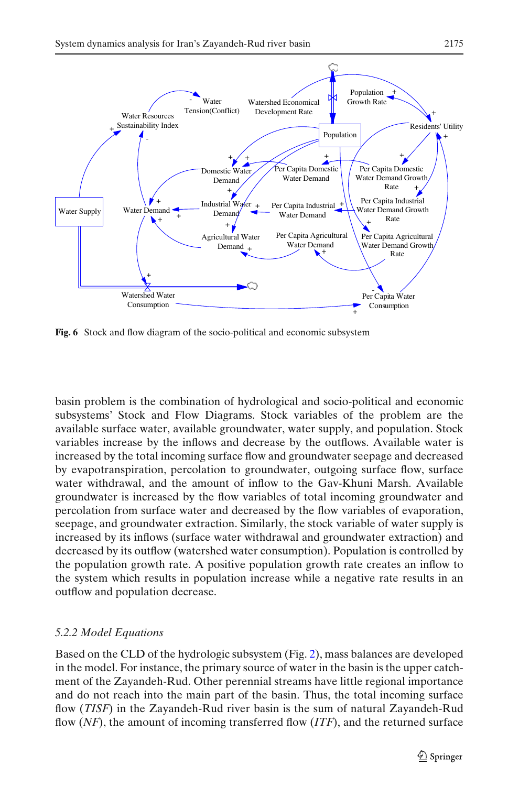<span id="page-12-0"></span>

**Fig. 6** Stock and flow diagram of the socio-political and economic subsystem

basin problem is the combination of hydrological and socio-political and economic subsystems' Stock and Flow Diagrams. Stock variables of the problem are the available surface water, available groundwater, water supply, and population. Stock variables increase by the inflows and decrease by the outflows. Available water is increased by the total incoming surface flow and groundwater seepage and decreased by evapotranspiration, percolation to groundwater, outgoing surface flow, surface water withdrawal, and the amount of inflow to the Gav-Khuni Marsh. Available groundwater is increased by the flow variables of total incoming groundwater and percolation from surface water and decreased by the flow variables of evaporation, seepage, and groundwater extraction. Similarly, the stock variable of water supply is increased by its inflows (surface water withdrawal and groundwater extraction) and decreased by its outflow (watershed water consumption). Population is controlled by the population growth rate. A positive population growth rate creates an inflow to the system which results in population increase while a negative rate results in an outflow and population decrease.

#### *5.2.2 Model Equations*

Based on the CLD of the hydrologic subsystem (Fig. [2\)](#page-8-0), mass balances are developed in the model. For instance, the primary source of water in the basin is the upper catchment of the Zayandeh-Rud. Other perennial streams have little regional importance and do not reach into the main part of the basin. Thus, the total incoming surface flow (*TISF*) in the Zayandeh-Rud river basin is the sum of natural Zayandeh-Rud flow (*NF*), the amount of incoming transferred flow (*ITF*), and the returned surface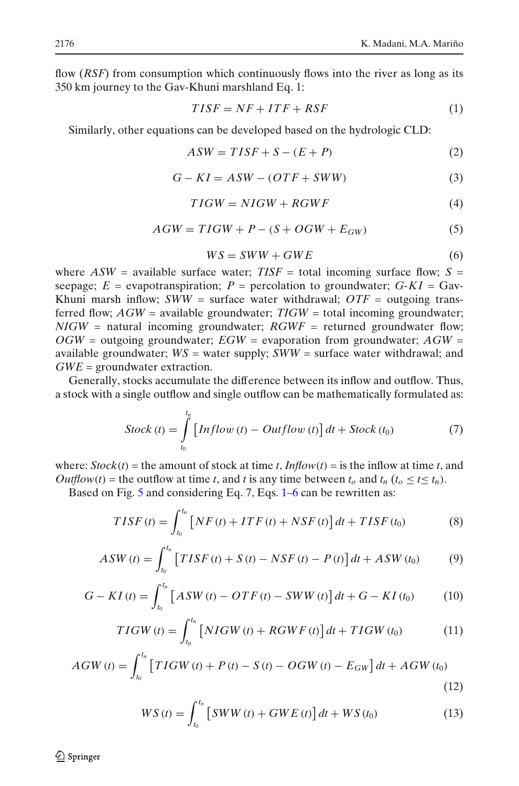flow (*RSF*) from consumption which continuously flows into the river as long as its 350 km journey to the Gav-Khuni marshland Eq. 1:

$$
TISF = NF + ITF + RSF \tag{1}
$$

Similarly, other equations can be developed based on the hydrologic CLD:

$$
ASW = TISF + S - (E + P) \tag{2}
$$

$$
G - KI = ASW - (OTF + SWW)
$$
\n(3)

$$
TIGW = NIGW + RGWF \tag{4}
$$

$$
AGW = TIGW + P - (S + OGW + E_{GW})
$$
\n<sup>(5)</sup>

$$
WS = SWW + GWE \tag{6}
$$

where  $ASW =$  available surface water;  $TISF =$  total incoming surface flow;  $S =$ seepage;  $E =$  evapotranspiration;  $P =$  percolation to groundwater;  $G-KI =$  Gav-Khuni marsh inflow;  $SWW =$  surface water withdrawal;  $OTF =$  outgoing transferred flow; *AGW* = available groundwater; *TIGW* = total incoming groundwater;  $NIGW =$  natural incoming groundwater;  $RGWF =$  returned groundwater flow; *OGW* = outgoing groundwater; *EGW* = evaporation from groundwater; *AGW* = available groundwater; *WS* = water supply; *SWW* = surface water withdrawal; and *GWE* = groundwater extraction.

Generally, stocks accumulate the difference between its inflow and outflow. Thus, a stock with a single outflow and single outflow can be mathematically formulated as:

$$
Stock(t) = \int_{t_0}^{t_n} \left[ Inflow(t) - Outflow(t) \right] dt + Stock(t_0)
$$
 (7)

where:  $Stock(t) =$  the amount of stock at time *t*, *Inflow*(*t*) = is the inflow at time *t*, and *Outflow*(*t*) = the outflow at time *t*, and *t* is any time between  $t_0$  and  $t_n$  ( $t_0 \le t \le t_n$ ).

Based on Fig. [5](#page-11-0) and considering Eq. 7, Eqs. 1–6 can be rewritten as:

$$
TISF(t) = \int_{t_0}^{t_n} \left[ NF(t) + ITF(t) + NSF(t) \right] dt + TISF(t_0)
$$
 (8)

$$
ASW(t) = \int_{t_0}^{t_n} \left[ TISF(t) + S(t) - NSF(t) - P(t) \right] dt + ASW(t_0)
$$
 (9)

$$
G - K I(t) = \int_{t_0}^{t_n} \left[ ASW(t) - OTF(t) - SWW(t) \right] dt + G - K I(t_0)
$$
 (10)

$$
TIGW(t) = \int_{t_0}^{t_n} \left[ NIGW(t) + RGWF(t) \right] dt + TIGW(t_0)
$$
\n(11)

$$
AGW(t) = \int_{t_0}^{t_n} \left[ TIGW(t) + P(t) - S(t) - OGW(t) - E_{GW} \right] dt + AGW(t_0)
$$
\n(12)

$$
WS(t) = \int_{t_0}^{t_n} \left[ SWW(t) + GWE(t) \right] dt + WS(t_0)
$$
 (13)

 $\mathcal{D}$  Springer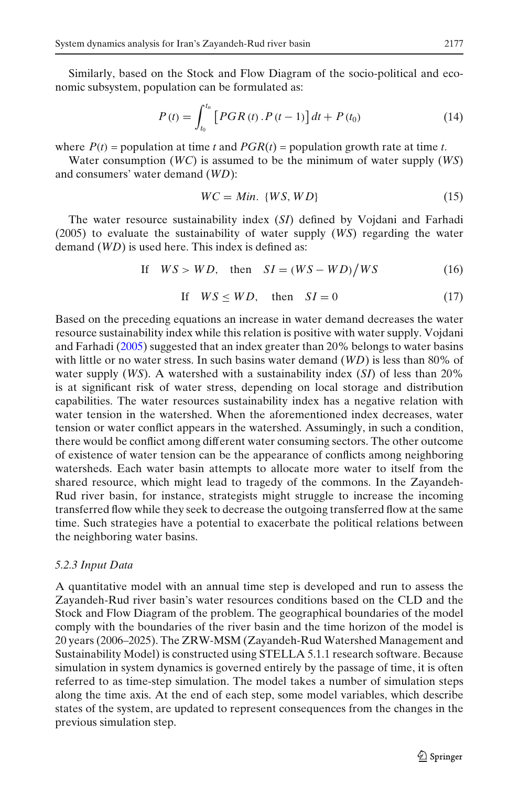Similarly, based on the Stock and Flow Diagram of the socio-political and economic subsystem, population can be formulated as:

$$
P(t) = \int_{t_0}^{t_n} \left[ PGR(t) \cdot P(t-1) \right] dt + P(t_0)
$$
 (14)

where  $P(t)$  = population at time *t* and  $PGR(t)$  = population growth rate at time *t*.

Water consumption (*WC*) is assumed to be the minimum of water supply (*WS*) and consumers' water demand (*WD*):

$$
WC = Min. \{WS, WD\} \tag{15}
$$

The water resource sustainability index (*SI*) defined by Vojdani and Farhadi (2005) to evaluate the sustainability of water supply (*WS*) regarding the water demand (*WD*) is used here. This index is defined as:

If 
$$
WS > WD
$$
, then  $SI = (WS - WD)/WS$  (16)

If 
$$
WS \le WD
$$
, then  $SI = 0$  (17)

Based on the preceding equations an increase in water demand decreases the water resource sustainability index while this relation is positive with water supply. Vojdani and Farhad[i](#page-24-0) [\(2005](#page-24-0)) suggested that an index greater than 20% belongs to water basins with little or no water stress. In such basins water demand (*WD*) is less than 80% of water supply (*WS*). A watershed with a sustainability index (*SI*) of less than 20% is at significant risk of water stress, depending on local storage and distribution capabilities. The water resources sustainability index has a negative relation with water tension in the watershed. When the aforementioned index decreases, water tension or water conflict appears in the watershed. Assumingly, in such a condition, there would be conflict among different water consuming sectors. The other outcome of existence of water tension can be the appearance of conflicts among neighboring watersheds. Each water basin attempts to allocate more water to itself from the shared resource, which might lead to tragedy of the commons. In the Zayandeh-Rud river basin, for instance, strategists might struggle to increase the incoming transferred flow while they seek to decrease the outgoing transferred flow at the same time. Such strategies have a potential to exacerbate the political relations between the neighboring water basins.

#### *5.2.3 Input Data*

A quantitative model with an annual time step is developed and run to assess the Zayandeh-Rud river basin's water resources conditions based on the CLD and the Stock and Flow Diagram of the problem. The geographical boundaries of the model comply with the boundaries of the river basin and the time horizon of the model is 20 years (2006–2025). The ZRW-MSM (Zayandeh-Rud Watershed Management and Sustainability Model) is constructed using STELLA 5.1.1 research software. Because simulation in system dynamics is governed entirely by the passage of time, it is often referred to as time-step simulation. The model takes a number of simulation steps along the time axis. At the end of each step, some model variables, which describe states of the system, are updated to represent consequences from the changes in the previous simulation step.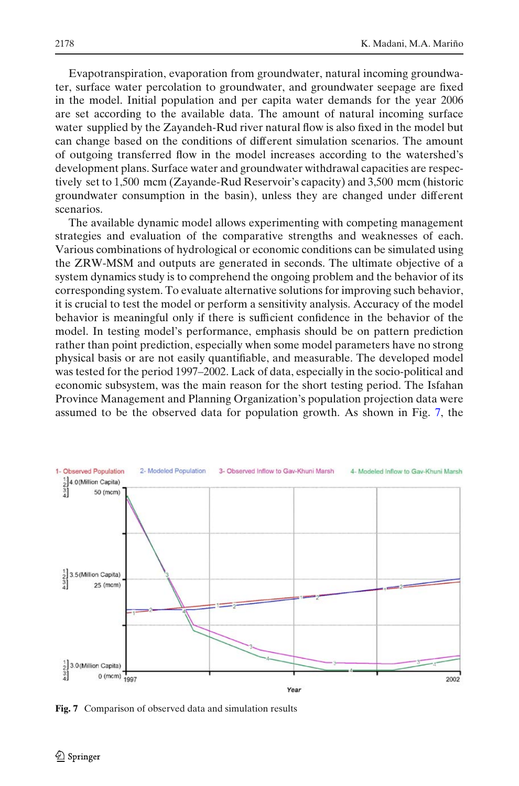Evapotranspiration, evaporation from groundwater, natural incoming groundwater, surface water percolation to groundwater, and groundwater seepage are fixed in the model. Initial population and per capita water demands for the year 2006 are set according to the available data. The amount of natural incoming surface water supplied by the Zayandeh-Rud river natural flow is also fixed in the model but can change based on the conditions of different simulation scenarios. The amount of outgoing transferred flow in the model increases according to the watershed's development plans. Surface water and groundwater withdrawal capacities are respectively set to 1,500 mcm (Zayande-Rud Reservoir's capacity) and 3,500 mcm (historic groundwater consumption in the basin), unless they are changed under different scenarios.

The available dynamic model allows experimenting with competing management strategies and evaluation of the comparative strengths and weaknesses of each. Various combinations of hydrological or economic conditions can be simulated using the ZRW-MSM and outputs are generated in seconds. The ultimate objective of a system dynamics study is to comprehend the ongoing problem and the behavior of its corresponding system. To evaluate alternative solutions for improving such behavior, it is crucial to test the model or perform a sensitivity analysis. Accuracy of the model behavior is meaningful only if there is sufficient confidence in the behavior of the model. In testing model's performance, emphasis should be on pattern prediction rather than point prediction, especially when some model parameters have no strong physical basis or are not easily quantifiable, and measurable. The developed model was tested for the period 1997–2002. Lack of data, especially in the socio-political and economic subsystem, was the main reason for the short testing period. The Isfahan Province Management and Planning Organization's population projection data were assumed to be the observed data for population growth. As shown in Fig. 7, the



**Fig. 7** Comparison of observed data and simulation results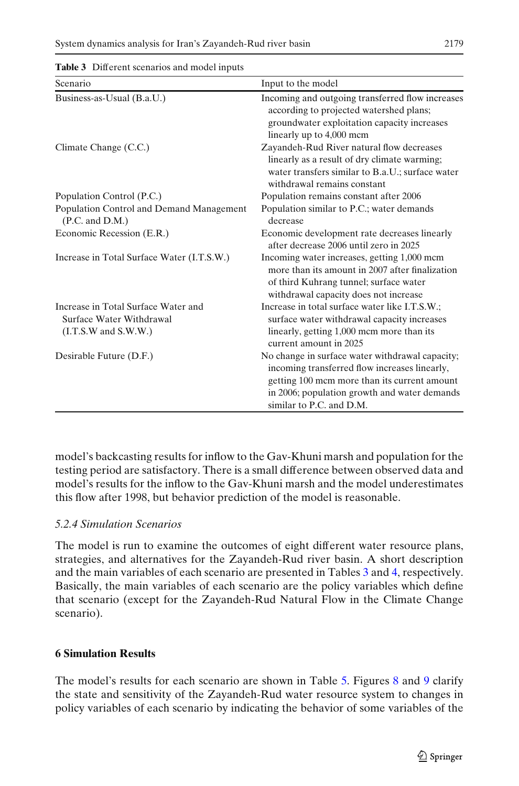| Scenario                                                                                | Input to the model                                                                                                                                                                                                           |
|-----------------------------------------------------------------------------------------|------------------------------------------------------------------------------------------------------------------------------------------------------------------------------------------------------------------------------|
| Business-as-Usual (B.a.U.)                                                              | Incoming and outgoing transferred flow increases<br>according to projected watershed plans;<br>groundwater exploitation capacity increases<br>linearly up to 4,000 mcm                                                       |
| Climate Change (C.C.)                                                                   | Zayandeh-Rud River natural flow decreases<br>linearly as a result of dry climate warming;<br>water transfers similar to B.a.U.; surface water<br>withdrawal remains constant                                                 |
| Population Control (P.C.)                                                               | Population remains constant after 2006                                                                                                                                                                                       |
| Population Control and Demand Management<br>(P.C. and D.M.)                             | Population similar to P.C.; water demands<br>decrease                                                                                                                                                                        |
| Economic Recession (E.R.)                                                               | Economic development rate decreases linearly<br>after decrease 2006 until zero in 2025                                                                                                                                       |
| Increase in Total Surface Water (I.T.S.W.)                                              | Incoming water increases, getting 1,000 mcm<br>more than its amount in 2007 after finalization<br>of third Kuhrang tunnel; surface water<br>withdrawal capacity does not increase                                            |
| Increase in Total Surface Water and<br>Surface Water Withdrawal<br>(I.T.S.W and S.W.W.) | Increase in total surface water like I.T.S.W.;<br>surface water withdrawal capacity increases<br>linearly, getting 1,000 mcm more than its<br>current amount in 2025                                                         |
| Desirable Future (D.F.)                                                                 | No change in surface water withdrawal capacity;<br>incoming transferred flow increases linearly,<br>getting 100 mcm more than its current amount<br>in 2006; population growth and water demands<br>similar to P.C. and D.M. |

**Table 3** Different scenarios and model inputs

model's backcasting results for inflow to the Gav-Khuni marsh and population for the testing period are satisfactory. There is a small difference between observed data and model's results for the inflow to the Gav-Khuni marsh and the model underestimates this flow after 1998, but behavior prediction of the model is reasonable.

### *5.2.4 Simulation Scenarios*

The model is run to examine the outcomes of eight different water resource plans, strategies, and alternatives for the Zayandeh-Rud river basin. A short description and the main variables of each scenario are presented in Tables 3 and [4,](#page-17-0) respectively. Basically, the main variables of each scenario are the policy variables which define that scenario (except for the Zayandeh-Rud Natural Flow in the Climate Change scenario).

### **6 Simulation Results**

The model's results for each scenario are shown in Table [5.](#page-18-0) Figures [8](#page-19-0) and [9](#page-20-0) clarify the state and sensitivity of the Zayandeh-Rud water resource system to changes in policy variables of each scenario by indicating the behavior of some variables of the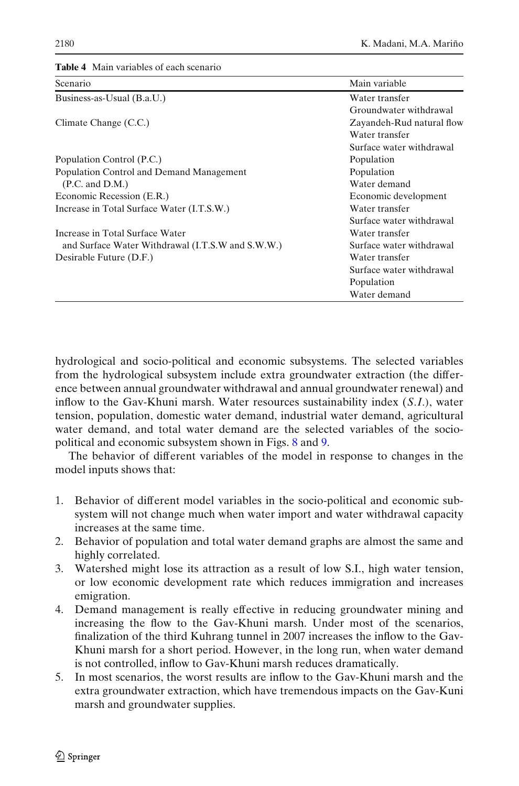| Scenario                                          | Main variable             |
|---------------------------------------------------|---------------------------|
| Business-as-Usual (B.a.U.)                        | Water transfer            |
|                                                   | Groundwater withdrawal    |
| Climate Change (C.C.)                             | Zayandeh-Rud natural flow |
|                                                   | Water transfer            |
|                                                   | Surface water withdrawal  |
| Population Control (P.C.)                         | Population                |
| Population Control and Demand Management          | Population                |
| (P.C. and D.M.)                                   | Water demand              |
| Economic Recession (E.R.)                         | Economic development      |
| Increase in Total Surface Water (I.T.S.W.)        | Water transfer            |
|                                                   | Surface water withdrawal  |
| Increase in Total Surface Water                   | Water transfer            |
| and Surface Water Withdrawal (I.T.S.W and S.W.W.) | Surface water withdrawal  |
| Desirable Future (D.F.)                           | Water transfer            |
|                                                   | Surface water withdrawal  |
|                                                   | Population                |
|                                                   | Water demand              |

<span id="page-17-0"></span>**Table 4** Main variables of each scenario

hydrological and socio-political and economic subsystems. The selected variables from the hydrological subsystem include extra groundwater extraction (the difference between annual groundwater withdrawal and annual groundwater renewal) and inflow to the Gav-Khuni marsh. Water resources sustainability index (*S*.*I*.), water tension, population, domestic water demand, industrial water demand, agricultural water demand, and total water demand are the selected variables of the sociopolitical and economic subsystem shown in Figs. [8](#page-19-0) and [9.](#page-20-0)

The behavior of different variables of the model in response to changes in the model inputs shows that:

- 1. Behavior of different model variables in the socio-political and economic subsystem will not change much when water import and water withdrawal capacity increases at the same time.
- 2. Behavior of population and total water demand graphs are almost the same and highly correlated.
- 3. Watershed might lose its attraction as a result of low S.I., high water tension, or low economic development rate which reduces immigration and increases emigration.
- 4. Demand management is really effective in reducing groundwater mining and increasing the flow to the Gav-Khuni marsh. Under most of the scenarios, finalization of the third Kuhrang tunnel in 2007 increases the inflow to the Gav-Khuni marsh for a short period. However, in the long run, when water demand is not controlled, inflow to Gav-Khuni marsh reduces dramatically.
- 5. In most scenarios, the worst results are inflow to the Gav-Khuni marsh and the extra groundwater extraction, which have tremendous impacts on the Gav-Kuni marsh and groundwater supplies.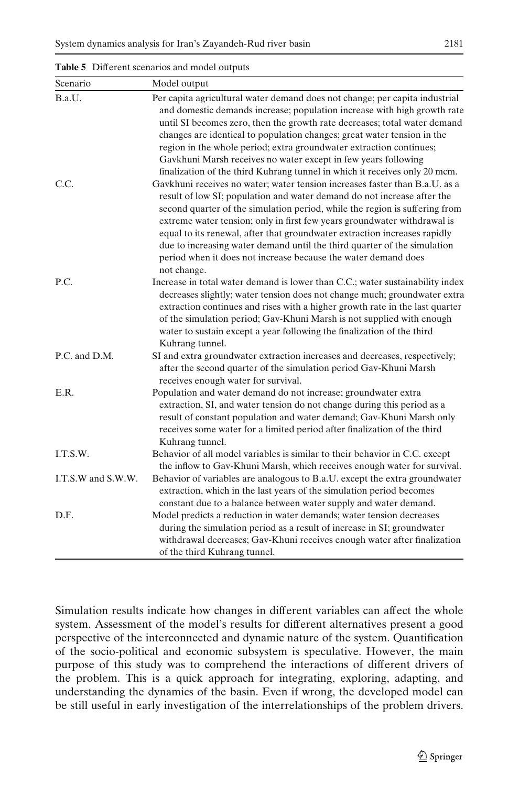<span id="page-18-0"></span>**Table 5** Different scenarios and model outputs

| Scenario           | Model output                                                                                                                                                                                                                                                                                                                                                                                                                                                                                                                                                |
|--------------------|-------------------------------------------------------------------------------------------------------------------------------------------------------------------------------------------------------------------------------------------------------------------------------------------------------------------------------------------------------------------------------------------------------------------------------------------------------------------------------------------------------------------------------------------------------------|
| B.a.U.             | Per capita agricultural water demand does not change; per capita industrial<br>and domestic demands increase; population increase with high growth rate<br>until SI becomes zero, then the growth rate decreases; total water demand<br>changes are identical to population changes; great water tension in the<br>region in the whole period; extra groundwater extraction continues;<br>Gavkhuni Marsh receives no water except in few years following<br>finalization of the third Kuhrang tunnel in which it receives only 20 mcm.                      |
| C.C.               | Gavkhuni receives no water; water tension increases faster than B.a.U. as a<br>result of low SI; population and water demand do not increase after the<br>second quarter of the simulation period, while the region is suffering from<br>extreme water tension; only in first few years groundwater withdrawal is<br>equal to its renewal, after that groundwater extraction increases rapidly<br>due to increasing water demand until the third quarter of the simulation<br>period when it does not increase because the water demand does<br>not change. |
| P.C.               | Increase in total water demand is lower than C.C.; water sustainability index<br>decreases slightly; water tension does not change much; groundwater extra<br>extraction continues and rises with a higher growth rate in the last quarter<br>of the simulation period; Gav-Khuni Marsh is not supplied with enough<br>water to sustain except a year following the finalization of the third<br>Kuhrang tunnel.                                                                                                                                            |
| P.C. and D.M.      | SI and extra groundwater extraction increases and decreases, respectively;<br>after the second quarter of the simulation period Gav-Khuni Marsh<br>receives enough water for survival.                                                                                                                                                                                                                                                                                                                                                                      |
| E.R.               | Population and water demand do not increase; groundwater extra<br>extraction, SI, and water tension do not change during this period as a<br>result of constant population and water demand; Gav-Khuni Marsh only<br>receives some water for a limited period after finalization of the third<br>Kuhrang tunnel.                                                                                                                                                                                                                                            |
| LT.S.W.            | Behavior of all model variables is similar to their behavior in C.C. except<br>the inflow to Gav-Khuni Marsh, which receives enough water for survival.                                                                                                                                                                                                                                                                                                                                                                                                     |
| I.T.S.W and S.W.W. | Behavior of variables are analogous to B.a.U. except the extra groundwater<br>extraction, which in the last years of the simulation period becomes<br>constant due to a balance between water supply and water demand.                                                                                                                                                                                                                                                                                                                                      |
| D.F.               | Model predicts a reduction in water demands; water tension decreases<br>during the simulation period as a result of increase in SI; groundwater<br>withdrawal decreases; Gav-Khuni receives enough water after finalization<br>of the third Kuhrang tunnel.                                                                                                                                                                                                                                                                                                 |

Simulation results indicate how changes in different variables can affect the whole system. Assessment of the model's results for different alternatives present a good perspective of the interconnected and dynamic nature of the system. Quantification of the socio-political and economic subsystem is speculative. However, the main purpose of this study was to comprehend the interactions of different drivers of the problem. This is a quick approach for integrating, exploring, adapting, and understanding the dynamics of the basin. Even if wrong, the developed model can be still useful in early investigation of the interrelationships of the problem drivers.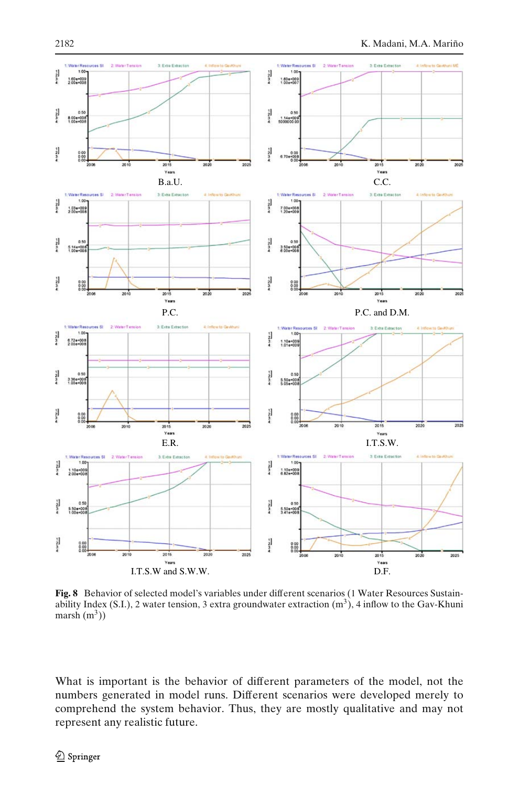<span id="page-19-0"></span>

**Fig. 8** Behavior of selected model's variables under different scenarios (1 Water Resources Sustainability Index (S.I.), 2 water tension, 3 extra groundwater extraction  $(m^3)$ , 4 inflow to the Gav-Khuni marsh  $(m^3)$ )

What is important is the behavior of different parameters of the model, not the numbers generated in model runs. Different scenarios were developed merely to comprehend the system behavior. Thus, they are mostly qualitative and may not represent any realistic future.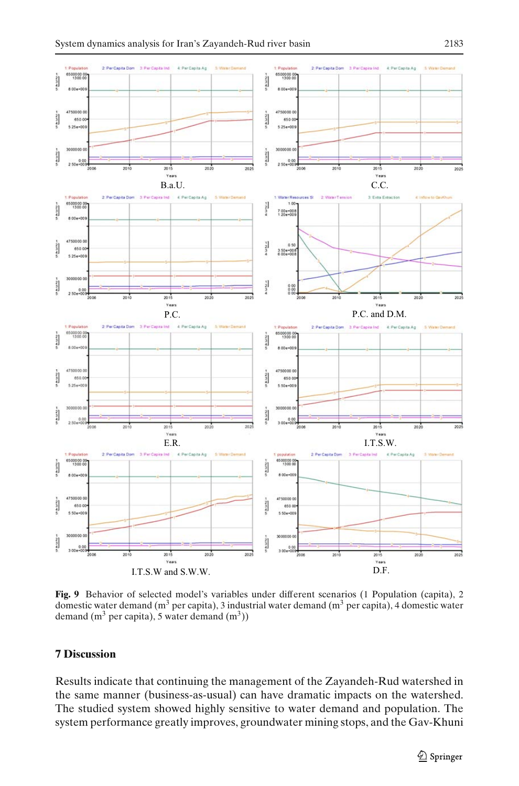<span id="page-20-0"></span>

**Fig. 9** Behavior of selected model's variables under different scenarios (1 Population (capita), 2 domestic water demand  $(m<sup>3</sup>$  per capita), 3 industrial water demand  $(m<sup>3</sup>$  per capita), 4 domestic water demand  $(m^3$  per capita), 5 water demand  $(m^3)$ )

### **7 Discussion**

Results indicate that continuing the management of the Zayandeh-Rud watershed in the same manner (business-as-usual) can have dramatic impacts on the watershed. The studied system showed highly sensitive to water demand and population. The system performance greatly improves, groundwater mining stops, and the Gav-Khuni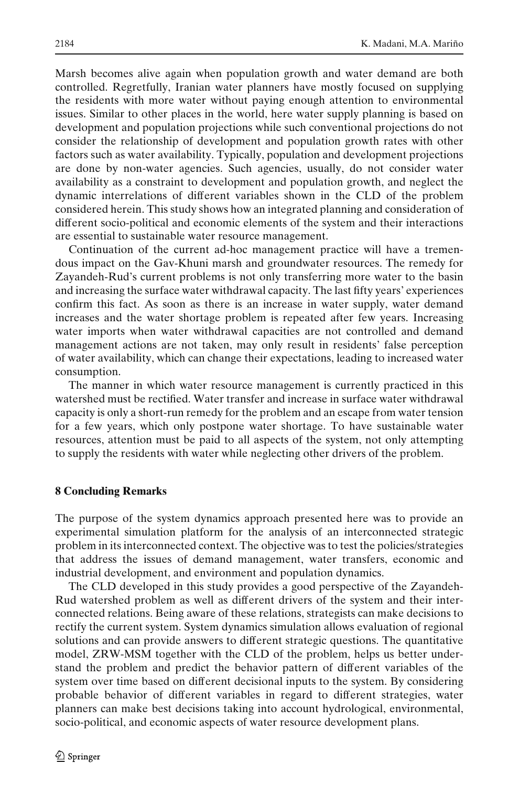Marsh becomes alive again when population growth and water demand are both controlled. Regretfully, Iranian water planners have mostly focused on supplying the residents with more water without paying enough attention to environmental issues. Similar to other places in the world, here water supply planning is based on development and population projections while such conventional projections do not consider the relationship of development and population growth rates with other factors such as water availability. Typically, population and development projections are done by non-water agencies. Such agencies, usually, do not consider water availability as a constraint to development and population growth, and neglect the dynamic interrelations of different variables shown in the CLD of the problem considered herein. This study shows how an integrated planning and consideration of different socio-political and economic elements of the system and their interactions are essential to sustainable water resource management.

Continuation of the current ad-hoc management practice will have a tremendous impact on the Gav-Khuni marsh and groundwater resources. The remedy for Zayandeh-Rud's current problems is not only transferring more water to the basin and increasing the surface water withdrawal capacity. The last fifty years' experiences confirm this fact. As soon as there is an increase in water supply, water demand increases and the water shortage problem is repeated after few years. Increasing water imports when water withdrawal capacities are not controlled and demand management actions are not taken, may only result in residents' false perception of water availability, which can change their expectations, leading to increased water consumption.

The manner in which water resource management is currently practiced in this watershed must be rectified. Water transfer and increase in surface water withdrawal capacity is only a short-run remedy for the problem and an escape from water tension for a few years, which only postpone water shortage. To have sustainable water resources, attention must be paid to all aspects of the system, not only attempting to supply the residents with water while neglecting other drivers of the problem.

#### **8 Concluding Remarks**

The purpose of the system dynamics approach presented here was to provide an experimental simulation platform for the analysis of an interconnected strategic problem in its interconnected context. The objective was to test the policies/strategies that address the issues of demand management, water transfers, economic and industrial development, and environment and population dynamics.

The CLD developed in this study provides a good perspective of the Zayandeh-Rud watershed problem as well as different drivers of the system and their interconnected relations. Being aware of these relations, strategists can make decisions to rectify the current system. System dynamics simulation allows evaluation of regional solutions and can provide answers to different strategic questions. The quantitative model, ZRW-MSM together with the CLD of the problem, helps us better understand the problem and predict the behavior pattern of different variables of the system over time based on different decisional inputs to the system. By considering probable behavior of different variables in regard to different strategies, water planners can make best decisions taking into account hydrological, environmental, socio-political, and economic aspects of water resource development plans.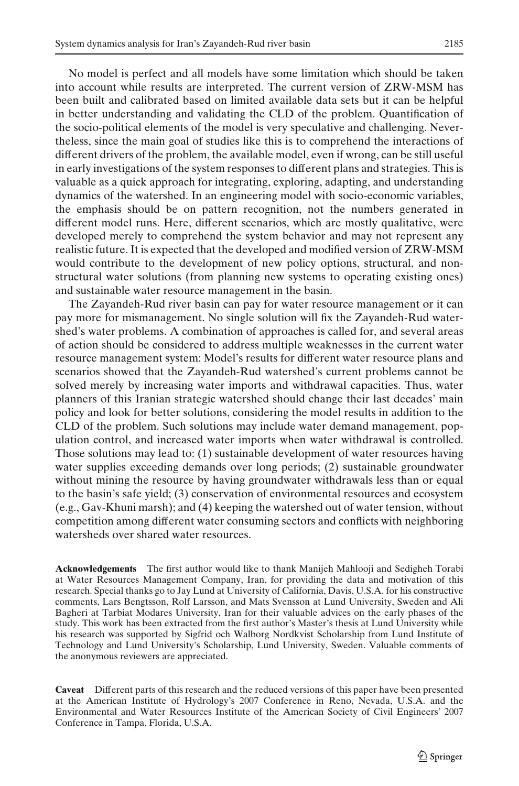No model is perfect and all models have some limitation which should be taken into account while results are interpreted. The current version of ZRW-MSM has been built and calibrated based on limited available data sets but it can be helpful in better understanding and validating the CLD of the problem. Quantification of the socio-political elements of the model is very speculative and challenging. Nevertheless, since the main goal of studies like this is to comprehend the interactions of different drivers of the problem, the available model, even if wrong, can be still useful in early investigations of the system responses to different plans and strategies. This is valuable as a quick approach for integrating, exploring, adapting, and understanding dynamics of the watershed. In an engineering model with socio-economic variables, the emphasis should be on pattern recognition, not the numbers generated in different model runs. Here, different scenarios, which are mostly qualitative, were developed merely to comprehend the system behavior and may not represent any realistic future. It is expected that the developed and modified version of ZRW-MSM would contribute to the development of new policy options, structural, and nonstructural water solutions (from planning new systems to operating existing ones) and sustainable water resource management in the basin.

The Zayandeh-Rud river basin can pay for water resource management or it can pay more for mismanagement. No single solution will fix the Zayandeh-Rud watershed's water problems. A combination of approaches is called for, and several areas of action should be considered to address multiple weaknesses in the current water resource management system: Model's results for different water resource plans and scenarios showed that the Zayandeh-Rud watershed's current problems cannot be solved merely by increasing water imports and withdrawal capacities. Thus, water planners of this Iranian strategic watershed should change their last decades' main policy and look for better solutions, considering the model results in addition to the CLD of the problem. Such solutions may include water demand management, population control, and increased water imports when water withdrawal is controlled. Those solutions may lead to: (1) sustainable development of water resources having water supplies exceeding demands over long periods; (2) sustainable groundwater without mining the resource by having groundwater withdrawals less than or equal to the basin's safe yield; (3) conservation of environmental resources and ecosystem (e.g., Gav-Khuni marsh); and (4) keeping the watershed out of water tension, without competition among different water consuming sectors and conflicts with neighboring watersheds over shared water resources.

**Acknowledgements** The first author would like to thank Manijeh Mahlooji and Sedigheh Torabi at Water Resources Management Company, Iran, for providing the data and motivation of this research. Special thanks go to Jay Lund at University of California, Davis, U.S.A. for his constructive comments, Lars Bengtsson, Rolf Larsson, and Mats Svensson at Lund University, Sweden and Ali Bagheri at Tarbiat Modares University, Iran for their valuable advices on the early phases of the study. This work has been extracted from the first author's Master's thesis at Lund University while his research was supported by Sigfrid och Walborg Nordkvist Scholarship from Lund Institute of Technology and Lund University's Scholarship, Lund University, Sweden. Valuable comments of the anonymous reviewers are appreciated.

**Caveat** Different parts of this research and the reduced versions of this paper have been presented at the American Institute of Hydrology's 2007 Conference in Reno, Nevada, U.S.A. and the Environmental and Water Resources Institute of the American Society of Civil Engineers' 2007 Conference in Tampa, Florida, U.S.A.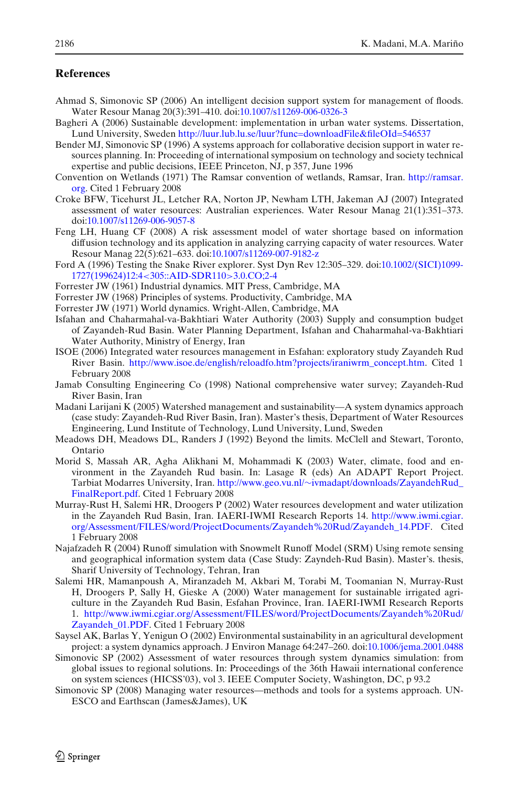#### <span id="page-23-0"></span>**References**

- Ahmad S, Simonovic SP (2006) An intelligent decision support system for management of floods. Water Resour Manag 20(3):391–410. doi[:10.1007/s11269-006-0326-3](http://dx.doi.org/10.1007/s11269-006-0326-3)
- Bagheri A (2006) Sustainable development: implementation in urban water systems. Dissertation, Lund University, Sweden <http://luur.lub.lu.se/luur?func=downloadFile&fileOId=546537>
- Bender MJ, Simonovic SP (1996) A systems approach for collaborative decision support in water resources planning. In: Proceeding of international symposium on technology and society technical expertise and public decisions, IEEE Princeton, NJ, p 357, June 1996
- Convention on Wetlands (1971) The Ramsar convention of wetlands, Ramsar, Iran. [http://ramsar.](http://ramsar.org) [org.](http://ramsar.org) Cited 1 February 2008
- Croke BFW, Ticehurst JL, Letcher RA, Norton JP, Newham LTH, Jakeman AJ (2007) Integrated assessment of water resources: Australian experiences. Water Resour Manag 21(1):351–373. doi[:10.1007/s11269-006-9057-8](http://dx.doi.org/10.1007/s11269-006-9057-8)
- Feng LH, Huang CF (2008) A risk assessment model of water shortage based on information diffusion technology and its application in analyzing carrying capacity of water resources. Water Resour Manag 22(5):621–633. doi[:10.1007/s11269-007-9182-z](http://dx.doi.org/10.1007/s11269-007-9182-z)
- Ford A (1996) Testing the Snake River explorer. Syst Dyn Rev 12:305–329. doi[:10.1002/\(SICI\)1099-](http://dx.doi.org/10.1002/(SICI)1099-1727(199624)12:4$<$305::AID-SDR110$>$3.0.CO;2-4) 1727(199624)12:4<[305::AID-SDR110](http://dx.doi.org/10.1002/(SICI)1099-1727 (199624)12:4$<$305::AID-SDR110$>$3.0.CO;2-4)>3.0.CO;2-4
- Forrester JW (1961) Industrial dynamics. MIT Press, Cambridge, MA
- Forrester JW (1968) Principles of systems. Productivity, Cambridge, MA
- Forrester JW (1971) World dynamics. Wright-Allen, Cambridge, MA
- Isfahan and Chaharmahal-va-Bakhtiari Water Authority (2003) Supply and consumption budget of Zayandeh-Rud Basin. Water Planning Department, Isfahan and Chaharmahal-va-Bakhtiari Water Authority, Ministry of Energy, Iran
- ISOE (2006) Integrated water resources management in Esfahan: exploratory study Zayandeh Rud River Basin. [http://www.isoe.de/english/reloadfo.htm?projects/iraniwrm\\_concept.htm.](http://www.isoe.de/english/reloadfo.htm?projects/iraniwrm_concept.htm) Cited 1 February 2008
- Jamab Consulting Engineering Co (1998) National comprehensive water survey; Zayandeh-Rud River Basin, Iran
- Madani Larijani K (2005) Watershed management and sustainability—A system dynamics approach (case study: Zayandeh-Rud River Basin, Iran). Master's thesis, Department of Water Resources Engineering, Lund Institute of Technology, Lund University, Lund, Sweden
- Meadows DH, Meadows DL, Randers J (1992) Beyond the limits. McClell and Stewart, Toronto, Ontario
- Morid S, Massah AR, Agha Alikhani M, Mohammadi K (2003) Water, climate, food and environment in the Zayandeh Rud basin. In: Lasage R (eds) An ADAPT Report Project. Tarbiat Modarres University, Iran. http://www.geo.vu.nl/∼[ivmadapt/downloads/ZayandehRud\\_](http://www.geo.vu.nl/~ivmadapt/downloads/ZayandehRud_FinalReport.pdf) [FinalReport.pdf.](http://www.geo.vu.nl/~ivmadapt/downloads/ZayandehRud_FinalReport.pdf) Cited 1 February 2008
- Murray-Rust H, Salemi HR, Droogers P (2002) Water resources development and water utilization in the Zayandeh Rud Basin, Iran. IAERI-IWMI Research Reports 14. [http://www.iwmi.cgiar.](http://www.iwmi.cgiar.org/Assessment/FILES/word/ProjectDocuments/Zayandeh%20Rud/Zayandeh_14.PDF) [org/Assessment/FILES/word/ProjectDocuments/Zayandeh%20Rud/Zayandeh\\_14.PDF.](http://www.iwmi.cgiar.org/Assessment/FILES/word/ProjectDocuments/Zayandeh%20Rud/Zayandeh_14.PDF) Cited 1 February 2008
- Najafzadeh R (2004) Runoff simulation with Snowmelt Runoff Model (SRM) Using remote sensing and geographical information system data (Case Study: Zayndeh-Rud Basin). Master's. thesis, Sharif University of Technology, Tehran, Iran
- Salemi HR, Mamanpoush A, Miranzadeh M, Akbari M, Torabi M, Toomanian N, Murray-Rust H, Droogers P, Sally H, Gieske A (2000) Water management for sustainable irrigated agriculture in the Zayandeh Rud Basin, Esfahan Province, Iran. IAERI-IWMI Research Reports 1. [http://www.iwmi.cgiar.org/Assessment/FILES/word/ProjectDocuments/Zayandeh%20Rud/](http://www.iwmi.cgiar.org/Assessment/FILES/word/ProjectDocuments/Zayandeh%20Rud/Zayandeh_01.PDF) Zayandeh 01.PDF. Cited 1 February 2008
- Saysel AK, Barlas Y, Yenigun O (2002) Environmental sustainability in an agricultural development project: a system dynamics approach. J Environ Manage 64:247–260. doi[:10.1006/jema.2001.0488](http://dx.doi.org/10.1006/jema.2001.0488)
- Simonovic SP (2002) Assessment of water resources through system dynamics simulation: from global issues to regional solutions. In: Proceedings of the 36th Hawaii international conference on system sciences (HICSS'03), vol 3. IEEE Computer Society, Washington, DC, p 93.2
- Simonovic SP (2008) Managing water resources—methods and tools for a systems approach. UN-ESCO and Earthscan (James&James), UK